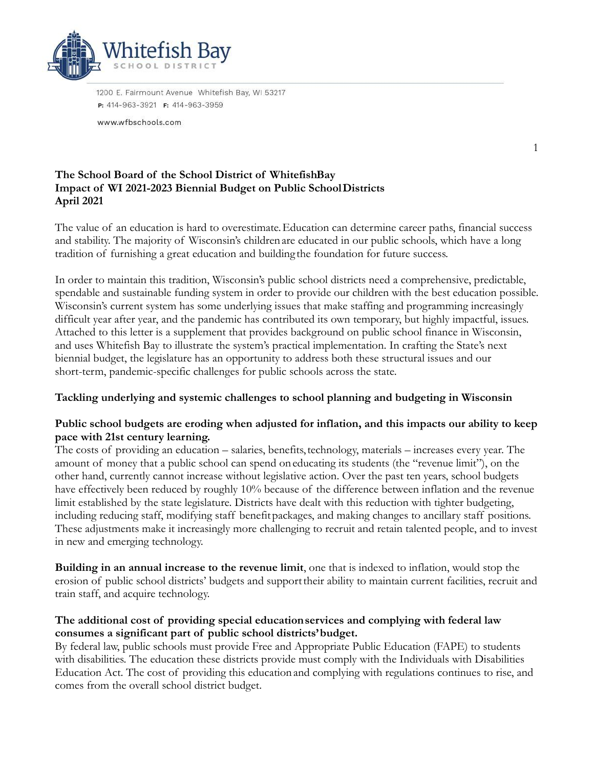

1200 E. Fairmount Avenue Whitefish Bay, WI 53217 P: 414-963-3921 F: 414-963-3959

www.wfbschools.com

### **The School Board of the School District of WhitefishBay Impact of WI 2021-2023 Biennial Budget on Public SchoolDistricts April 2021**

The value of an education is hard to overestimate.Education can determine career paths, financial success and stability. The majority of Wisconsin's childrenare educated in our public schools, which have a long tradition of furnishing a great education and building the foundation for future success.

1

In order to maintain this tradition, Wisconsin's public school districts need a comprehensive, predictable, spendable and sustainable funding system in order to provide our children with the best education possible. Wisconsin's current system has some underlying issues that make staffing and programming increasingly difficult year after year, and the pandemic has contributed its own temporary, but highly impactful, issues. Attached to this letter is a supplement that provides background on public school finance in Wisconsin, and uses Whitefish Bay to illustrate the system's practical implementation. In crafting the State's next biennial budget, the legislature has an opportunity to address both these structural issues and our short-term, pandemic-specific challenges for public schools across the state.

# **Tackling underlying and systemic challenges to school planning and budgeting in Wisconsin**

## **Public school budgets are eroding when adjusted for inflation, and this impacts our ability to keep pace with 21st century learning.**

The costs of providing an education – salaries, benefits, technology, materials – increases every year. The amount of money that a public school can spend oneducating its students (the "revenue limit"), on the other hand, currently cannot increase without legislative action. Over the past ten years, school budgets have effectively been reduced by roughly 10% because of the difference between inflation and the revenue limit established by the state legislature. Districts have dealt with this reduction with tighter budgeting, including reducing staff, modifying staff benefitpackages, and making changes to ancillary staff positions. These adjustments make it increasingly more challenging to recruit and retain talented people, and to invest in new and emerging technology.

**Building in an annual increase to the revenue limit**, one that is indexed to inflation, would stop the erosion of public school districts' budgets and supporttheir ability to maintain current facilities, recruit and train staff, and acquire technology.

## **The additional cost of providing special educationservices and complying with federal law consumes a significant part of public school districts'budget.**

By federal law, public schools must provide Free and Appropriate Public Education (FAPE) to students with disabilities. The education these districts provide must comply with the Individuals with Disabilities Education Act. The cost of providing this educationand complying with regulations continues to rise, and comes from the overall school district budget.